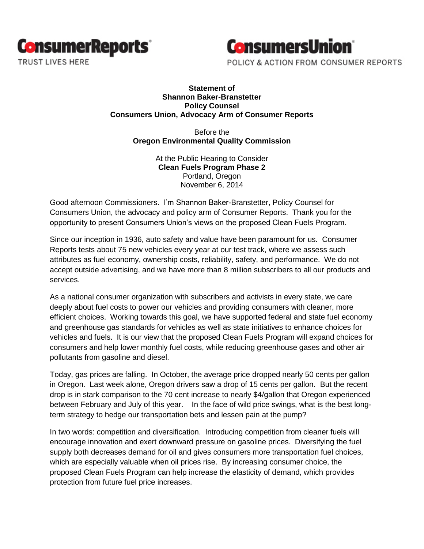



## **Statement of Shannon Baker-Branstetter Policy Counsel Consumers Union, Advocacy Arm of Consumer Reports**

Before the **Oregon Environmental Quality Commission**

> At the Public Hearing to Consider **Clean Fuels Program Phase 2** Portland, Oregon November 6, 2014

Good afternoon Commissioners. I'm Shannon Baker-Branstetter, Policy Counsel for Consumers Union, the advocacy and policy arm of Consumer Reports. Thank you for the opportunity to present Consumers Union's views on the proposed Clean Fuels Program.

Since our inception in 1936, auto safety and value have been paramount for us. Consumer Reports tests about 75 new vehicles every year at our test track, where we assess such attributes as fuel economy, ownership costs, reliability, safety, and performance. We do not accept outside advertising, and we have more than 8 million subscribers to all our products and services.

As a national consumer organization with subscribers and activists in every state, we care deeply about fuel costs to power our vehicles and providing consumers with cleaner, more efficient choices. Working towards this goal, we have supported federal and state fuel economy and greenhouse gas standards for vehicles as well as state initiatives to enhance choices for vehicles and fuels. It is our view that the proposed Clean Fuels Program will expand choices for consumers and help lower monthly fuel costs, while reducing greenhouse gases and other air pollutants from gasoline and diesel.

Today, gas prices are falling. In October, the average price dropped nearly 50 cents per gallon in Oregon. Last week alone, Oregon drivers saw a drop of 15 cents per gallon. But the recent drop is in stark comparison to the 70 cent increase to nearly \$4/gallon that Oregon experienced between February and July of this year. In the face of wild price swings, what is the best longterm strategy to hedge our transportation bets and lessen pain at the pump?

In two words: competition and diversification. Introducing competition from cleaner fuels will encourage innovation and exert downward pressure on gasoline prices. Diversifying the fuel supply both decreases demand for oil and gives consumers more transportation fuel choices, which are especially valuable when oil prices rise. By increasing consumer choice, the proposed Clean Fuels Program can help increase the elasticity of demand, which provides protection from future fuel price increases.